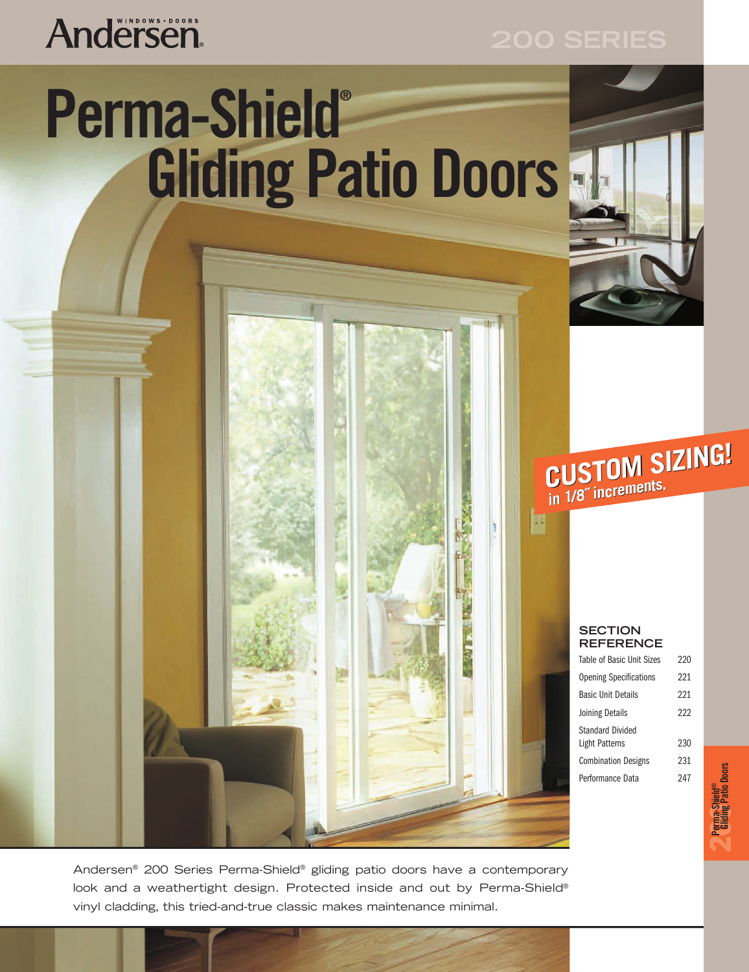# **Andersen**

400 Series casement windows

# Perma-Shield® **Awning Windows Gliding Patio Doors**

**2 Panna-Shield®**<br>2 **Canding Pario Doors CUSTOM SIZING! CUSTOM SIZING! in 1/8˝ increments. 1/8˝ increments.**

### **SECTION REFERENCE**

| <b>Table of Basic Unit Sizes</b>          | 220 |              |
|-------------------------------------------|-----|--------------|
| <b>Opening Specifications</b>             | 221 |              |
| <b>Basic Unit Details</b>                 | 221 |              |
| Joining Details                           | 222 |              |
| <b>Standard Divided</b><br>Light Patterns | 230 |              |
| <b>Combination Designs</b>                | 231 |              |
| Performance Data                          | 247 | <b>Doors</b> |

Andersen casement windows are available in stationary picture window configurations, look and a weathertight design. Protected inside and out by Perma-Shield® vinyl cladding, this tried-and-true classic makes maintenance minimal. Andersen® 200 Series Perma-Shield® gliding patio doors have a contemporary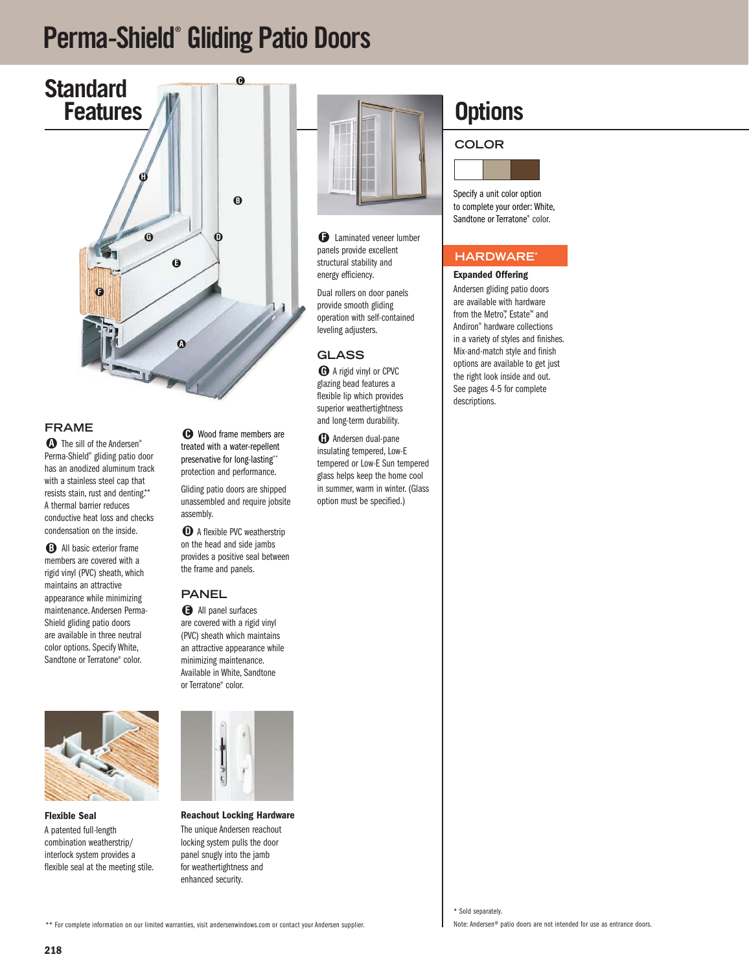## **Perma-Shield® Gliding Patio Doors**



### **FRAME**

 $\bullet$  The sill of the Andersen® Perma-Shield® gliding patio door has an anodized aluminum track with a stainless steel cap that resists stain, rust and denting.\*\* A thermal barrier reduces conductive heat loss and checks condensation on the inside.

**B** All basic exterior frame members are covered with a rigid vinyl (PVC) sheath, which maintains an attractive appearance while minimizing maintenance. Andersen Perma-Shield gliding patio doors are available in three neutral color options. Specify White, Sandtone or Terratone® color.



**Flexible Seal** A patented full-length combination weatherstrip/ interlock system provides a flexible seal at the meeting stile.

Wood frame members are **C** treated with a water-repellent preservative for long-lasting\*\* protection and performance.

Gliding patio doors are shipped unassembled and require jobsite assembly.

**D** A flexible PVC weatherstrip on the head and side jambs provides a positive seal between the frame and panels.

#### **PANEL**

All panel surfaces **E** are covered with a rigid vinyl (PVC) sheath which maintains an attractive appearance while minimizing maintenance. Available in White, Sandtone or Terratone® color.



**Reachout Locking Hardware** The unique Andersen reachout locking system pulls the door panel snugly into the jamb for weathertightness and enhanced security.



**P** Laminated veneer lumber panels provide excellent structural stability and energy efficiency.

Dual rollers on door panels provide smooth gliding operation with self-contained leveling adjusters.

#### **GLASS**

A rigid vinyl or CPVC **G** glazing bead features a flexible lip which provides superior weathertightness and long-term durability.

 $\mathbf{\mathbb{D}}$  Andersen dual-pane insulating tempered, Low-E tempered or Low-E Sun tempered glass helps keep the home cool in summer, warm in winter. (Glass option must be specified.)

## **Options**

**COLOR**



Specify a unit color option to complete your order: White, Sandtone or Terratone® color.

#### **HARDWARE\***

#### **Expanded Offering**

Andersen gliding patio doors are available with hardware from the Metro<sup>™</sup>, Estate™ and Andiron® hardware collections in a variety of styles and finishes. Mix-and-match style and finish options are available to get just the right look inside and out. See pages 4-5 for complete descriptions.

\*\* For complete information on our limited warranties, visit andersenwindows.com or contact your Andersen supplier.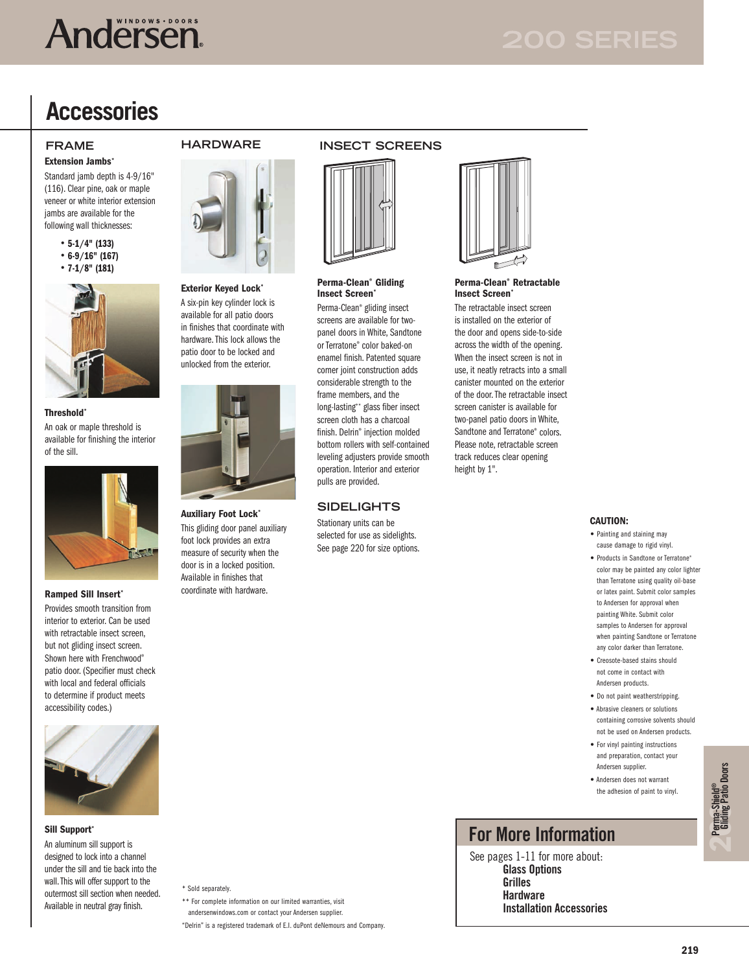# **Andersen**

## **Accessories**

**Extension Jambs\***

Standard jamb depth is 4-9/16" (116). Clear pine, oak or maple veneer or white interior extension jambs are available for the following wall thicknesses:

- **5-1/4" (133)**
- **6-9/16" (167)**  • **7-1/8" (181)**
- 



**Threshold\*** An oak or maple threshold is available for finishing the interior of the sill.



Provides smooth transition from interior to exterior. Can be used with retractable insect screen but not gliding insect screen. Shown here with Frenchwood® patio door. (Specifier must check with local and federal officials to determine if product meets accessibility codes.)



#### **Sill Support\***

An aluminum sill support is designed to lock into a channel under the sill and tie back into the wall.This will offer support to the outermost sill section when needed. Available in neutral gray finish.

#### **Exterior Keyed Lock\***

A six-pin key cylinder lock is available for all patio doors in finishes that coordinate with hardware. This lock allows the patio door to be locked and unlocked from the exterior.



**Auxiliary Foot Lock\*** This gliding door panel auxiliary foot lock provides an extra measure of security when the door is in a locked position. Available in finishes that coordinate with hardware. **Ramped Sill Insert\***

### **FRAME HARDWARE INSECT SCREENS**



#### **Perma-Clean® Gliding Insect Screen\***

Perma-Clean® gliding insect screens are available for twopanel doors in White, Sandtone or Terratone® color baked-on enamel finish. Patented square corner joint construction adds considerable strength to the frame members, and the long-lasting\*\* glass fiber insect screen cloth has a charcoal finish. Delrin® injection molded bottom rollers with self-contained leveling adjusters provide smooth operation. Interior and exterior pulls are provided.

#### **SIDELIGHTS**

Stationary units can be selected for use as sidelights. See page 220 for size options.



#### **Perma-Clean® Retractable Insect Screen**\*

The retractable insect screen is installed on the exterior of the door and opens side-to-side across the width of the opening. When the insect screen is not in use, it neatly retracts into a small canister mounted on the exterior of the door. The retractable insect screen canister is available for two-panel patio doors in White, Sandtone and Terratone® colors. Please note, retractable screen track reduces clear opening height by 1".

#### **CAUTION:**

- Painting and staining may cause damage to rigid vinyl.
- Products in Sandtone or Terratone® color may be painted any color lighter than Terratone using quality oil-base or latex paint. Submit color samples to Andersen for approval when painting White. Submit color samples to Andersen for approval when painting Sandtone or Terratone any color darker than Terratone.
- Creosote-based stains should not come in contact with Andersen products.
- Do not paint weatherstripping.
- Abrasive cleaners or solutions containing corrosive solvents should not be used on Andersen products.
- For vinyl painting instructions and preparation, contact your Andersen supplier.
- Andersen does not warrant the adhesion of paint to vinyl.

## **For More Information**

See pages 1-11 for more about: **Glass Options Grilles Hardware Installation Accessories**

\* Sold separately.

\*\* For complete information on our limited warranties, visit

andersenwindows.com or contact your Andersen supplier.

"Delrin" is a registered trademark of E.I. duPont deNemours and Company.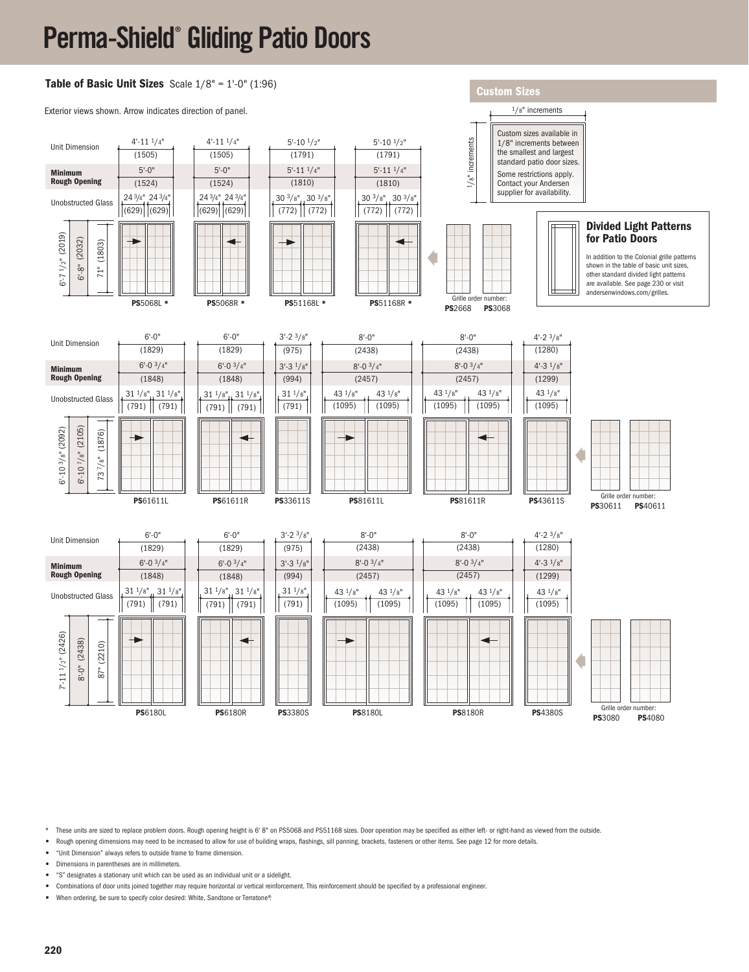# **Perma-Shield® Gliding Patio Doors**



These units are sized to replace problem doors. Rough opening height is 6' 8" on PS5068 and PS51168 sizes. Door operation may be specified as either left- or right-hand as viewed from the outside.

**•** Rough opening dimensions may need to be increased to allow for use of building wraps, flashings, sill panning, brackets, fasteners or other items. See page 12 for more details.

**•** "Unit Dimension" always refers to outside frame to frame dimension.

**•** Dimensions in parentheses are in millimeters.

- **•** "S" designates a stationary unit which can be used as an individual unit or a sidelight.
- **•** Combinations of door units joined together may require horizontal or vertical reinforcement. This reinforcement should be specified by a professional engineer.

**•** When ordering, be sure to specify color desired: White, Sandtone or Terratone®.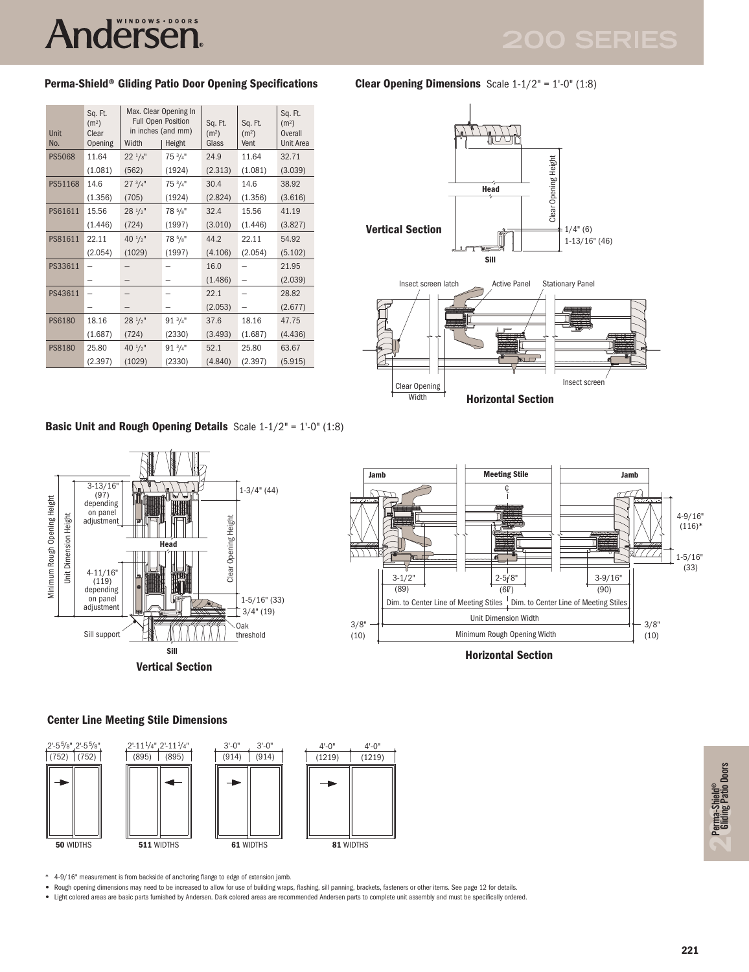# Andërsen.

### **Perma-Shield® Gliding Patio Door Opening Specifications**

| Unit<br>No.   | Sq. Ft.<br>(m <sup>2</sup> )<br>Clear<br>Opening | Max. Clear Opening In<br><b>Full Open Position</b><br>in inches (and mm)<br>Width<br>Height |                    | Sq. Ft.<br>(m <sup>2</sup> )<br>Glass | Sq. Ft.<br>(m <sup>2</sup> )<br>Vent | Sq. Ft.<br>(m <sup>2</sup> )<br>Overall<br>Unit Area |
|---------------|--------------------------------------------------|---------------------------------------------------------------------------------------------|--------------------|---------------------------------------|--------------------------------------|------------------------------------------------------|
| <b>PS5068</b> | 11.64                                            | $22^{1/s}$                                                                                  | $75 \frac{3}{4}$ " | 24.9                                  | 11.64                                | 32.71                                                |
|               | (1.081)                                          | (562)                                                                                       | (1924)             | (2.313)                               | (1.081)                              | (3.039)                                              |
| PS51168       | 14.6                                             | $27 \frac{3}{4}$ "                                                                          | $75 \frac{3}{4}$ " | 30.4                                  | 14.6                                 | 38.92                                                |
|               | (1.356)                                          | (705)                                                                                       | (1924)             | (2.824)                               | (1.356)                              | (3.616)                                              |
| PS61611       | 15.56                                            | $28^{1/2}$                                                                                  | $78\frac{5}{8}$ "  | 32.4                                  | 15.56                                | 41.19                                                |
|               | (1.446)                                          | (724)                                                                                       | (1997)             | (3.010)                               | (1.446)                              | (3.827)                                              |
| PS81611       | 22.11                                            | $40 \frac{1}{2}$ "                                                                          | 78 5/8"            | 44.2                                  | 22.11                                | 54.92                                                |
|               | (2.054)                                          | (1029)                                                                                      | (1997)             | (4.106)                               | (2.054)                              | (5.102)                                              |
| PS33611       |                                                  |                                                                                             |                    | 16.0                                  |                                      | 21.95                                                |
|               |                                                  |                                                                                             |                    | (1.486)                               |                                      | (2.039)                                              |
| PS43611       |                                                  |                                                                                             |                    | 22.1                                  |                                      | 28.82                                                |
|               |                                                  |                                                                                             |                    | (2.053)                               |                                      | (2.677)                                              |
| <b>PS6180</b> | 18.16                                            | $28 \frac{1}{2}$ "                                                                          | $91 \frac{3}{4}$   | 37.6                                  | 18.16                                | 47.75                                                |
|               | (1.687)                                          | (724)                                                                                       | (2330)             | (3.493)                               | (1.687)                              | (4.436)                                              |
| <b>PS8180</b> | 25.80                                            | 40 $\frac{1}{2}$ "                                                                          | $91 \frac{3}{4}$ " | 52.1                                  | 25.80                                | 63.67                                                |
|               | (2.397)                                          | (1029)                                                                                      | (2330)             | (4.840)                               | (2.397)                              | (5.915)                                              |





#### **Center Line Meeting Stile Dimensions**



\* 4-9/16" measurement is from backside of anchoring flange to edge of extension jamb.

**•** Rough opening dimensions may need to be increased to allow for use of building wraps, flashing, sill panning, brackets, fasteners or other items. See page 12 for details.

**•** Light colored areas are basic parts furnished by Andersen. Dark colored areas are recommended Andersen parts to complete unit assembly and must be specifically ordered.

**200Perma-Shield® Gliding Patio Doors** 

**Clear Opening Dimensions** Scale 1-1/2" = 1'-0" (1:8)